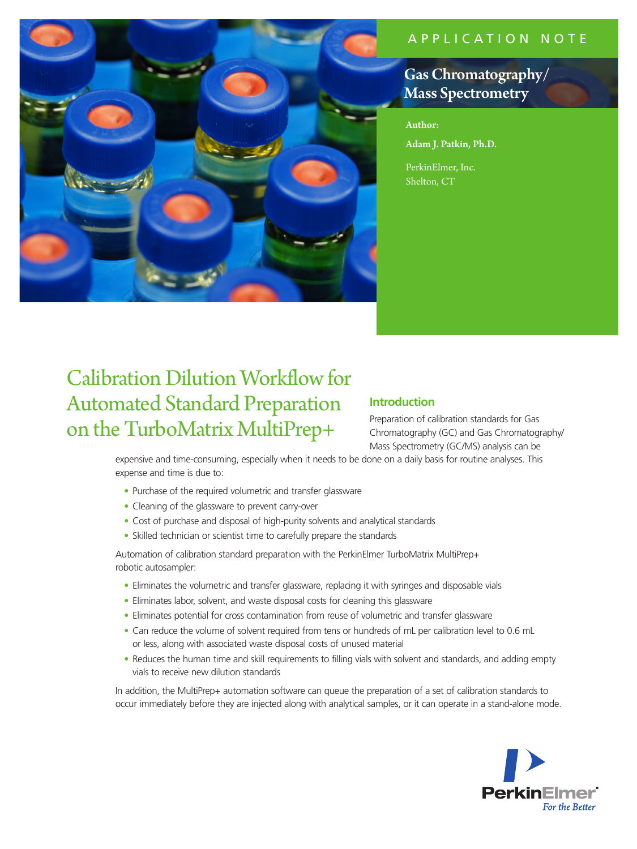## APPLICATION NOTE



# Gas Chromatography/ Mass Spectrometry

Author: Adam J. Patkin, Ph.D.

PerkinElmer, Inc. Shelton, CT

# Calibration Dilution Workflow for Automated Standard Preparation on the TurboMatrix MultiPrep+

### **Introduction**

Preparation of calibration standards for Gas Chromatography (GC) and Gas Chromatography/ Mass Spectrometry (GC/MS) analysis can be

expensive and time-consuming, especially when it needs to be done on a daily basis for routine analyses. This expense and time is due to:

- Purchase of the required volumetric and transfer glassware
- Cleaning of the glassware to prevent carry-over
- Cost of purchase and disposal of high-purity solvents and analytical standards
- Skilled technician or scientist time to carefully prepare the standards

Automation of calibration standard preparation with the PerkinElmer TurboMatrix MultiPrep+ robotic autosampler:

- Eliminates the volumetric and transfer glassware, replacing it with syringes and disposable vials
- Eliminates labor, solvent, and waste disposal costs for cleaning this glassware
- Eliminates potential for cross contamination from reuse of volumetric and transfer glassware
- Can reduce the volume of solvent required from tens or hundreds of mL per calibration level to 0.6 mL or less, along with associated waste disposal costs of unused material
- Reduces the human time and skill requirements to filling vials with solvent and standards, and adding empty vials to receive new dilution standards

In addition, the MultiPrep+ automation software can queue the preparation of a set of calibration standards to occur immediately before they are injected along with analytical samples, or it can operate in a stand-alone mode.

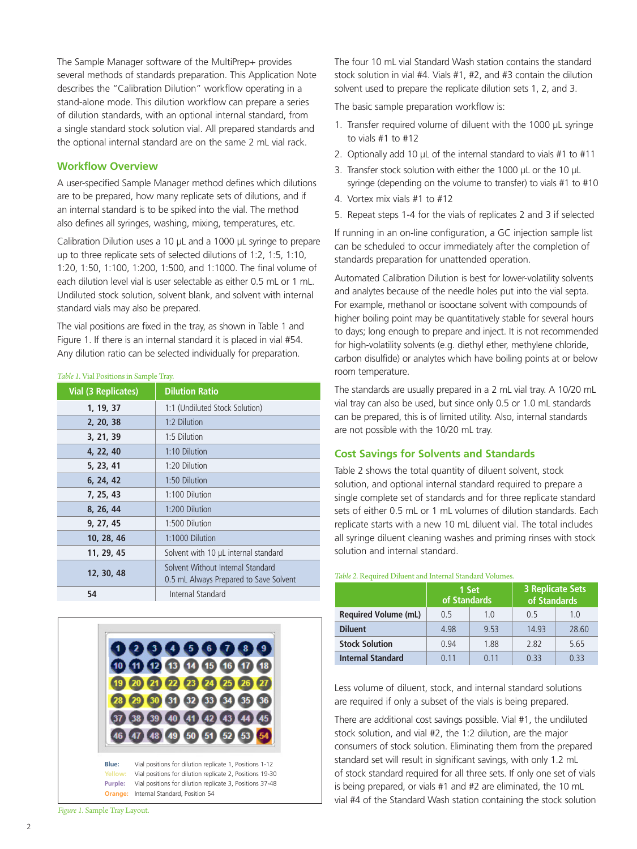The Sample Manager software of the MultiPrep+ provides several methods of standards preparation. This Application Note describes the "Calibration Dilution" workflow operating in a stand-alone mode. This dilution workflow can prepare a series of dilution standards, with an optional internal standard, from a single standard stock solution vial. All prepared standards and the optional internal standard are on the same 2 mL vial rack.

#### **Workflow Overview**

A user-specified Sample Manager method defines which dilutions are to be prepared, how many replicate sets of dilutions, and if an internal standard is to be spiked into the vial. The method also defines all syringes, washing, mixing, temperatures, etc.

Calibration Dilution uses a 10 µL and a 1000 µL syringe to prepare up to three replicate sets of selected dilutions of 1:2, 1:5, 1:10, 1:20, 1:50, 1:100, 1:200, 1:500, and 1:1000. The final volume of each dilution level vial is user selectable as either 0.5 mL or 1 mL. Undiluted stock solution, solvent blank, and solvent with internal standard vials may also be prepared.

The vial positions are fixed in the tray, as shown in Table 1 and Figure 1. If there is an internal standard it is placed in vial #54. Any dilution ratio can be selected individually for preparation.

#### *Table 1.* Vial Positions in Sample Tray.

| <b>Vial (3 Replicates)</b> | <b>Dilution Ratio</b>                                                       |  |
|----------------------------|-----------------------------------------------------------------------------|--|
| 1, 19, 37                  | 1:1 (Undiluted Stock Solution)                                              |  |
| 2, 20, 38                  | 1:2 Dilution                                                                |  |
| 3, 21, 39                  | 1:5 Dilution                                                                |  |
| 4, 22, 40                  | 1:10 Dilution                                                               |  |
| 5, 23, 41                  | 1:20 Dilution                                                               |  |
| 6, 24, 42                  | 1:50 Dilution                                                               |  |
| 7, 25, 43                  | 1:100 Dilution                                                              |  |
| 8, 26, 44                  | 1:200 Dilution                                                              |  |
| 9, 27, 45                  | 1:500 Dilution                                                              |  |
| 10, 28, 46                 | 1:1000 Dilution                                                             |  |
| 11, 29, 45                 | Solvent with 10 µL internal standard                                        |  |
| 12, 30, 48                 | Solvent Without Internal Standard<br>0.5 mL Always Prepared to Save Solvent |  |
| 54                         | Internal Standard                                                           |  |



*Figure 1.* Sample Tray Layout.

The four 10 mL vial Standard Wash station contains the standard stock solution in vial #4. Vials #1, #2, and #3 contain the dilution solvent used to prepare the replicate dilution sets 1, 2, and 3.

The basic sample preparation workflow is:

- 1. Transfer required volume of diluent with the 1000 µL syringe to vials  $#1$  to  $#12$
- 2. Optionally add 10  $\mu$ L of the internal standard to vials #1 to #11
- 3. Transfer stock solution with either the 1000 µL or the 10 µL syringe (depending on the volume to transfer) to vials #1 to #10
- 4. Vortex mix vials #1 to #12
- 5. Repeat steps 1-4 for the vials of replicates 2 and 3 if selected

If running in an on-line configuration, a GC injection sample list can be scheduled to occur immediately after the completion of standards preparation for unattended operation.

Automated Calibration Dilution is best for lower-volatility solvents and analytes because of the needle holes put into the vial septa. For example, methanol or isooctane solvent with compounds of higher boiling point may be quantitatively stable for several hours to days; long enough to prepare and inject. It is not recommended for high-volatility solvents (e.g. diethyl ether, methylene chloride, carbon disulfide) or analytes which have boiling points at or below room temperature.

The standards are usually prepared in a 2 mL vial tray. A 10/20 mL vial tray can also be used, but since only 0.5 or 1.0 mL standards can be prepared, this is of limited utility. Also, internal standards are not possible with the 10/20 mL tray.

#### **Cost Savings for Solvents and Standards**

Table 2 shows the total quantity of diluent solvent, stock solution, and optional internal standard required to prepare a single complete set of standards and for three replicate standard sets of either 0.5 mL or 1 mL volumes of dilution standards. Each replicate starts with a new 10 mL diluent vial. The total includes all syringe diluent cleaning washes and priming rinses with stock solution and internal standard.

#### *Table 2.* Required Diluent and Internal Standard Volumes.

|                             | 1 Set<br>of Standards |       | <b>3 Replicate Sets</b><br>of Standards |       |
|-----------------------------|-----------------------|-------|-----------------------------------------|-------|
| <b>Required Volume (mL)</b> | 0.5                   | 1.0   | 0.5                                     | 1.0   |
| <b>Diluent</b>              | 4.98                  | 9.53  | 14.93                                   | 28.60 |
| <b>Stock Solution</b>       | 0.94                  | 1.88  | 2.82                                    | 5.65  |
| <b>Internal Standard</b>    | O 11                  | 0 1 1 | 0 33                                    | 0.33  |

Less volume of diluent, stock, and internal standard solutions are required if only a subset of the vials is being prepared.

There are additional cost savings possible. Vial #1, the undiluted stock solution, and vial #2, the 1:2 dilution, are the major consumers of stock solution. Eliminating them from the prepared standard set will result in significant savings, with only 1.2 mL of stock standard required for all three sets. If only one set of vials is being prepared, or vials #1 and #2 are eliminated, the 10 mL vial #4 of the Standard Wash station containing the stock solution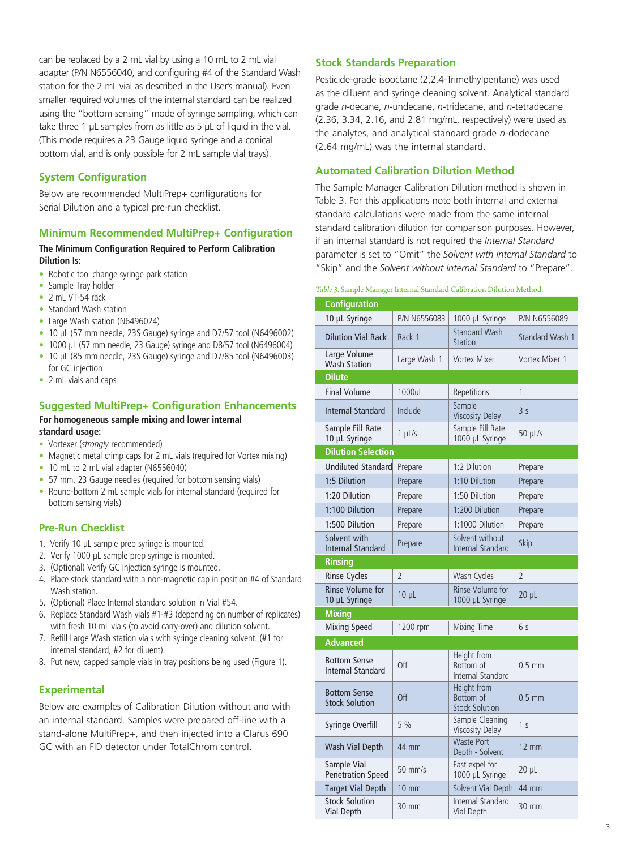can be replaced by a 2 mL vial by using a 10 mL to 2 mL vial adapter (P/N N6556040, and configuring #4 of the Standard Wash station for the 2 mL vial as described in the User's manual). Even smaller required volumes of the internal standard can be realized using the "bottom sensing" mode of syringe sampling, which can take three 1 µL samples from as little as 5 µL of liquid in the vial. (This mode requires a 23 Gauge liquid syringe and a conical bottom vial, and is only possible for 2 mL sample vial trays).

#### **System Configuration**

Below are recommended MultiPrep+ configurations for Serial Dilution and a typical pre-run checklist.

#### **Minimum Recommended MultiPrep+ Configuration**

#### **The Minimum Configuration Required to Perform Calibration Dilution Is:**

- Robotic tool change syringe park station
- Sample Tray holder
- 2 mL VT-54 rack
- Standard Wash station
- Large Wash station (N6496024)
- 10 µL (57 mm needle, 23S Gauge) syringe and D7/57 tool (N6496002)
- 1000 µL (57 mm needle, 23 Gauge) syringe and D8/57 tool (N6496004)
- 10 µL (85 mm needle, 23S Gauge) syringe and D7/85 tool (N6496003) for GC injection
- 2 mL vials and caps

#### **Suggested MultiPrep+ Configuration Enhancements For homogeneous sample mixing and lower internal**

#### **standard usage:**

- Vortexer (*strongly* recommended)
- Magnetic metal crimp caps for 2 mL vials (required for Vortex mixing)
- 10 mL to 2 mL vial adapter (N6556040)
- 57 mm, 23 Gauge needles (required for bottom sensing vials)
- Round-bottom 2 mL sample vials for internal standard (required for bottom sensing vials)

#### **Pre-Run Checklist**

- 1. Verify 10 µL sample prep syringe is mounted.
- 2. Verify 1000 µL sample prep syringe is mounted.
- 3. (Optional) Verify GC injection syringe is mounted.
- 4. Place stock standard with a non-magnetic cap in position #4 of Standard Wash station.
- 5. (Optional) Place Internal standard solution in Vial #54.
- 6. Replace Standard Wash vials #1-#3 (depending on number of replicates) with fresh 10 mL vials (to avoid carry-over) and dilution solvent.
- 7. Refill Large Wash station vials with syringe cleaning solvent. (#1 for internal standard, #2 for diluent).
- 8. Put new, capped sample vials in tray positions being used (Figure 1).

#### **Experimental**

Below are examples of Calibration Dilution without and with an internal standard. Samples were prepared off-line with a stand-alone MultiPrep+, and then injected into a Clarus 690 GC with an FID detector under TotalChrom control.

#### **Stock Standards Preparation**

Pesticide-grade isooctane (2,2,4-Trimethylpentane) was used as the diluent and syringe cleaning solvent. Analytical standard grade *n-*decane, *n-*undecane, *n-*tridecane, and *n-*tetradecane (2.36, 3.34, 2.16, and 2.81 mg/mL, respectively) were used as the analytes, and analytical standard grade *n-*dodecane (2.64 mg/mL) was the internal standard.

#### **Automated Calibration Dilution Method**

The Sample Manager Calibration Dilution method is shown in Table 3. For this applications note both internal and external standard calculations were made from the same internal standard calibration dilution for comparison purposes. However, if an internal standard is not required the *Internal Standard*  parameter is set to "Omit" the *Solvent with Internal Standard* to "Skip" and the *Solvent without Internal Standard* to "Prepare".

#### *Table 3.* Sample Manager Internal Standard Calibration Dilution Method.

| <b>Configuration</b>                         |                |                                                   |                        |
|----------------------------------------------|----------------|---------------------------------------------------|------------------------|
| 10 µL Syringe                                | P/N N6556083   | 1000 µL Syringe                                   | P/N N6556089           |
| <b>Dilution Vial Rack</b>                    | Rack 1         | <b>Standard Wash</b><br>Station                   | <b>Standard Wash 1</b> |
| Large Volume<br><b>Wash Station</b>          | Large Wash 1   | <b>Vortex Mixer</b>                               | Vortex Mixer 1         |
| <b>Dilute</b>                                |                |                                                   |                        |
| <b>Final Volume</b>                          | 1000uL         | Repetitions                                       | 1                      |
| <b>Internal Standard</b>                     | Include        | Sample<br><b>Viscosity Delay</b>                  | 3 <sub>s</sub>         |
| Sample Fill Rate<br>10 µL Syringe            | $1$ $\mu$ L/s  | Sample Fill Rate<br>1000 µL Syringe               | 50 µL/s                |
| <b>Dilution Selection</b>                    |                |                                                   |                        |
| <b>Undiluted Standard</b>                    | Prepare        | 1:2 Dilution                                      | Prepare                |
| 1:5 Dilution                                 | Prepare        | 1:10 Dilution                                     | Prepare                |
| 1:20 Dilution                                | Prepare        | 1:50 Dilution                                     | Prepare                |
| 1:100 Dilution                               | Prepare        | 1:200 Dilution                                    | Prepare                |
| 1:500 Dilution                               | Prepare        | 1:1000 Dilution                                   | Prepare                |
| Solvent with<br><b>Internal Standard</b>     | Prepare        | Solvent without<br>Internal Standard              | Skip                   |
| <b>Rinsing</b>                               |                |                                                   |                        |
| <b>Rinse Cycles</b>                          | $\overline{2}$ | Wash Cycles                                       | $\overline{2}$         |
| Rinse Volume for<br>10 µL Syringe            | $10 \mu L$     | Rinse Volume for<br>1000 µL Syringe               | $20 \mu$               |
| <b>Mixing</b>                                |                |                                                   |                        |
| Mixing Speed                                 | 1200 rpm       | Mixing Time                                       | 6 s                    |
| <b>Advanced</b>                              |                |                                                   |                        |
| <b>Bottom Sense</b><br>Internal Standard     | Off            | Height from<br>Bottom of<br>Internal Standard     | $0.5 \text{ mm}$       |
| <b>Bottom Sense</b><br><b>Stock Solution</b> | Off            | Height from<br>Bottom of<br><b>Stock Solution</b> | $0.5$ mm               |
| Syringe Overfill                             | 5%             | Sample Cleaning<br><b>Viscosity Delay</b>         | 1 <sub>s</sub>         |
| Wash Vial Depth                              | 44 mm          | <b>Waste Port</b><br>Depth - Solvent              | $12 \text{ mm}$        |
| Sample Vial<br><b>Penetration Speed</b>      | 50 mm/s        | Fast expel for<br>1000 µL Syringe                 | 20 µL                  |
| <b>Target Vial Depth</b>                     | 10 mm          | Solvent Vial Depth                                | 44 mm                  |
| <b>Stock Solution</b><br><b>Vial Depth</b>   | 30 mm          | Internal Standard<br>Vial Depth                   | 30 mm                  |